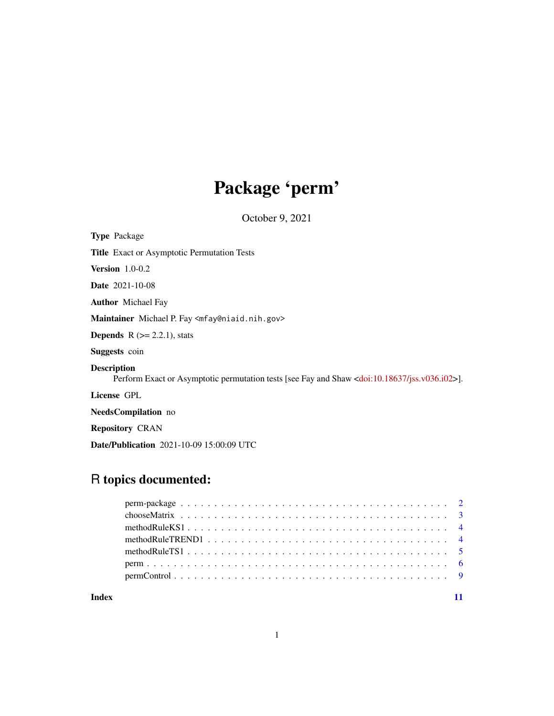# Package 'perm'

October 9, 2021

<span id="page-0-0"></span>Type Package Title Exact or Asymptotic Permutation Tests Version 1.0-0.2 Date 2021-10-08 Author Michael Fay Maintainer Michael P. Fay <mfay@niaid.nih.gov> **Depends**  $R$  ( $>= 2.2.1$ ), stats Suggests coin Description Perform Exact or Asymptotic permutation tests [see Fay and Shaw [<doi:10.18637/jss.v036.i02>](https://doi.org/10.18637/jss.v036.i02)]. License GPL NeedsCompilation no Repository CRAN

Date/Publication 2021-10-09 15:00:09 UTC

# R topics documented:

#### **Index** [11](#page-10-0)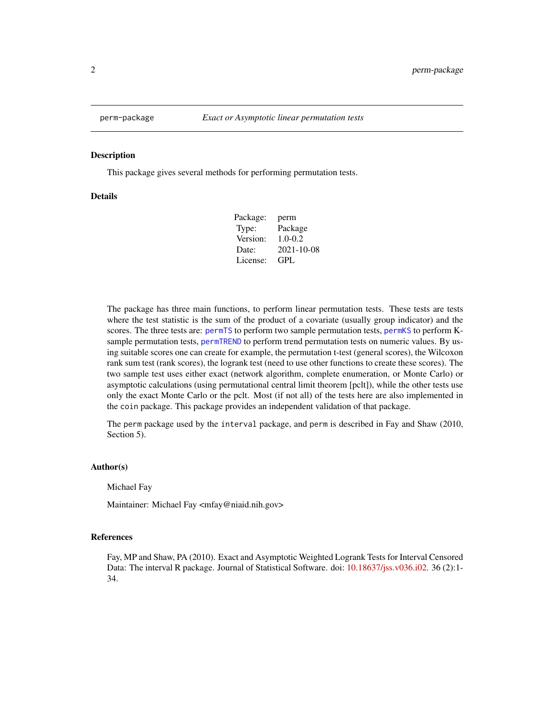<span id="page-1-0"></span>

#### Description

This package gives several methods for performing permutation tests.

# **Details**

| perm        |
|-------------|
| Package     |
| $1.0 - 0.2$ |
| 2021-10-08  |
| GPL         |
|             |

The package has three main functions, to perform linear permutation tests. These tests are tests where the test statistic is the sum of the product of a covariate (usually group indicator) and the scores. The three tests are: [permTS](#page-5-1) to perform two sample permutation tests, [permKS](#page-5-1) to perform Ksample permutation tests, [permTREND](#page-5-1) to perform trend permutation tests on numeric values. By using suitable scores one can create for example, the permutation t-test (general scores), the Wilcoxon rank sum test (rank scores), the logrank test (need to use other functions to create these scores). The two sample test uses either exact (network algorithm, complete enumeration, or Monte Carlo) or asymptotic calculations (using permutational central limit theorem [pclt]), while the other tests use only the exact Monte Carlo or the pclt. Most (if not all) of the tests here are also implemented in the coin package. This package provides an independent validation of that package.

The perm package used by the interval package, and perm is described in Fay and Shaw (2010, Section 5).

#### Author(s)

Michael Fay

Maintainer: Michael Fay <mfay@niaid.nih.gov>

# References

Fay, MP and Shaw, PA (2010). Exact and Asymptotic Weighted Logrank Tests for Interval Censored Data: The interval R package. Journal of Statistical Software. doi: [10.18637/jss.v036.i02.](https://doi.org/10.18637/jss.v036.i02) 36 (2):1- 34.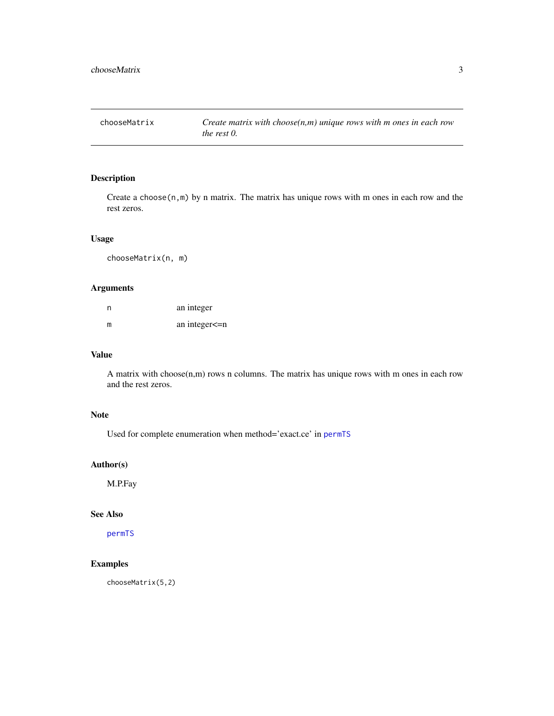<span id="page-2-1"></span><span id="page-2-0"></span>chooseMatrix *Create matrix with choose(n,m) unique rows with m ones in each row the rest 0.*

# Description

Create a choose(n,m) by n matrix. The matrix has unique rows with m ones in each row and the rest zeros.

# Usage

chooseMatrix(n, m)

# Arguments

| n | an integer      |
|---|-----------------|
| m | an integer <= n |

# Value

A matrix with choose $(n,m)$  rows n columns. The matrix has unique rows with m ones in each row and the rest zeros.

# Note

Used for complete enumeration when method='exact.ce' in [permTS](#page-5-1)

#### Author(s)

M.P.Fay

# See Also

[permTS](#page-5-1)

# Examples

chooseMatrix(5,2)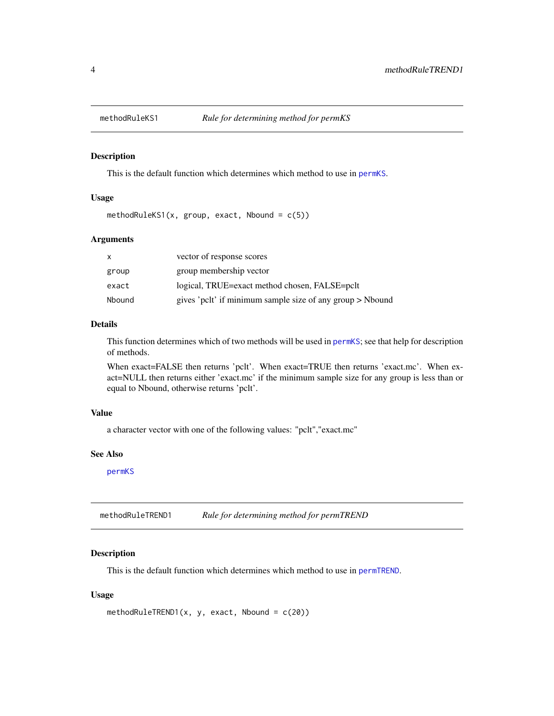<span id="page-3-1"></span><span id="page-3-0"></span>

#### Description

This is the default function which determines which method to use in [permKS](#page-5-1).

### Usage

methodRuleKS1(x, group, exact, Nbound =  $c(5)$ )

# Arguments

| x.     | vector of response scores                                 |
|--------|-----------------------------------------------------------|
| group  | group membership vector                                   |
| exact  | logical, TRUE=exact method chosen, FALSE=pclt             |
| Nbound | gives 'pclt' if minimum sample size of any group > Nbound |

# Details

This function determines which of two methods will be used in [permKS](#page-5-1); see that help for description of methods.

When exact=FALSE then returns 'pclt'. When exact=TRUE then returns 'exact.mc'. When exact=NULL then returns either 'exact.mc' if the minimum sample size for any group is less than or equal to Nbound, otherwise returns 'pclt'.

# Value

a character vector with one of the following values: "pclt","exact.mc"

# See Also

[permKS](#page-5-1)

<span id="page-3-2"></span>methodRuleTREND1 *Rule for determining method for permTREND*

#### Description

This is the default function which determines which method to use in [permTREND](#page-5-1).

#### Usage

```
methodRuleTREND1(x, y, exact, Nbound = c(20))
```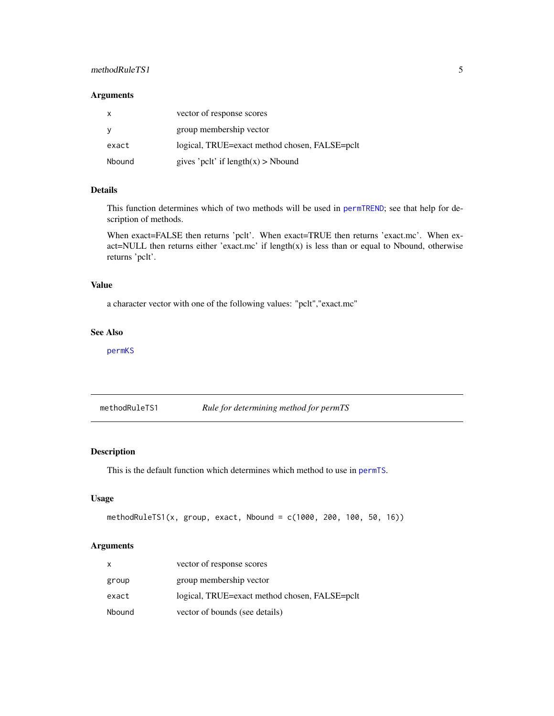# <span id="page-4-0"></span>methodRuleTS1 5

# Arguments

| $\mathsf{x}$ | vector of response scores                     |
|--------------|-----------------------------------------------|
| <b>y</b>     | group membership vector                       |
| exact        | logical, TRUE=exact method chosen, FALSE=pclt |
| Nbound       | gives 'pclt' if $length(x) > Nbound$          |

# Details

This function determines which of two methods will be used in [permTREND](#page-5-1); see that help for description of methods.

When exact=FALSE then returns 'pclt'. When exact=TRUE then returns 'exact.mc'. When exact=NULL then returns either 'exact.mc' if  $length(x)$  is less than or equal to Nbound, otherwise returns 'pclt'.

# Value

a character vector with one of the following values: "pclt","exact.mc"

#### See Also

[permKS](#page-5-1)

<span id="page-4-1"></span>methodRuleTS1 *Rule for determining method for permTS*

# Description

This is the default function which determines which method to use in [permTS](#page-5-1).

#### Usage

```
methodRuleTS1(x, group, exact, Nbound = c(1000, 200, 100, 50, 16))
```
### Arguments

| X      | vector of response scores                     |
|--------|-----------------------------------------------|
| group  | group membership vector                       |
| exact  | logical, TRUE=exact method chosen, FALSE=pclt |
| Nbound | vector of bounds (see details)                |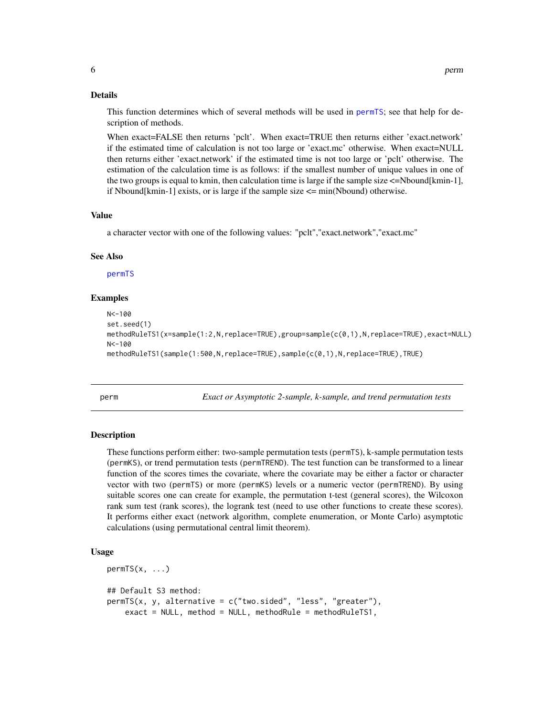#### <span id="page-5-0"></span>Details

This function determines which of several methods will be used in [permTS](#page-5-1); see that help for description of methods.

When exact=FALSE then returns 'pclt'. When exact=TRUE then returns either 'exact.network' if the estimated time of calculation is not too large or 'exact.mc' otherwise. When exact=NULL then returns either 'exact.network' if the estimated time is not too large or 'pclt' otherwise. The estimation of the calculation time is as follows: if the smallest number of unique values in one of the two groups is equal to kmin, then calculation time is large if the sample size  $\leq$ =Nbound[kmin-1], if Nbound[kmin-1] exists, or is large if the sample size  $\leq$  min(Nbound) otherwise.

# Value

a character vector with one of the following values: "pclt","exact.network","exact.mc"

#### See Also

[permTS](#page-5-1)

#### Examples

```
N < -100set.seed(1)
methodRuleTS1(x=sample(1:2,N,replace=TRUE),group=sample(c(0,1),N,replace=TRUE),exact=NULL)
N < -100methodRuleTS1(sample(1:500,N,replace=TRUE),sample(c(0,1),N,replace=TRUE),TRUE)
```
perm *Exact or Asymptotic 2-sample, k-sample, and trend permutation tests*

#### <span id="page-5-1"></span>**Description**

These functions perform either: two-sample permutation tests (permTS), k-sample permutation tests (permKS), or trend permutation tests (permTREND). The test function can be transformed to a linear function of the scores times the covariate, where the covariate may be either a factor or character vector with two (permTS) or more (permKS) levels or a numeric vector (permTREND). By using suitable scores one can create for example, the permutation t-test (general scores), the Wilcoxon rank sum test (rank scores), the logrank test (need to use other functions to create these scores). It performs either exact (network algorithm, complete enumeration, or Monte Carlo) asymptotic calculations (using permutational central limit theorem).

#### Usage

```
permTS(x, \ldots)## Default S3 method:
permTS(x, y, alternative = c("two.sided", "less", "greater"),
    exact = NULL, method = NULL, methodRule = methodRuleTS1,
```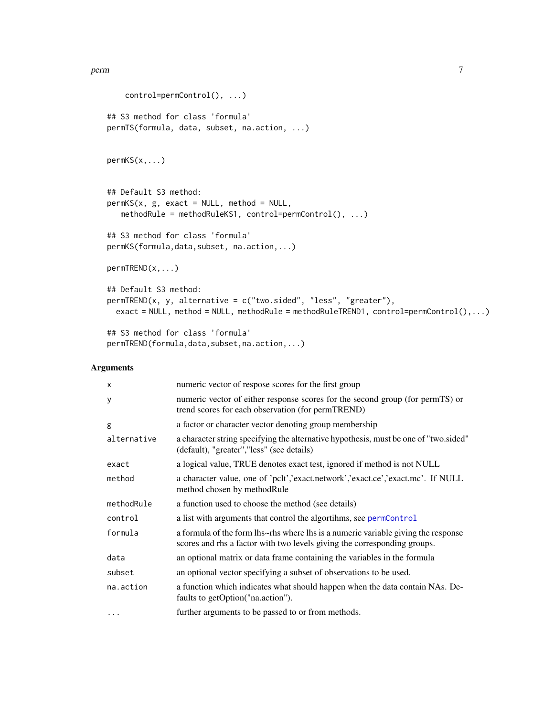```
control=permControl(), ...)
## S3 method for class 'formula'
permTS(formula, data, subset, na.action, ...)
permKS(x,...)
## Default S3 method:
permKS(x, g, exact = NULL, method = NULL,methodRule = methodRuleKS1, control=permControl(), ...)
## S3 method for class 'formula'
permKS(formula,data,subset, na.action,...)
permTREND(x,...)
## Default S3 method:
permTREND(x, y, alternative = c("two.sided", "less", "greater"),
 exact = NULL, method = NULL, methodRule = methodRuleTREND1, control=permControl(),...)
## S3 method for class 'formula'
permTREND(formula,data,subset,na.action,...)
```
# Arguments

| $\boldsymbol{\mathsf{x}}$ | numeric vector of respose scores for the first group                                                                                                          |
|---------------------------|---------------------------------------------------------------------------------------------------------------------------------------------------------------|
| У                         | numeric vector of either response scores for the second group (for permTS) or<br>trend scores for each observation (for permTREND)                            |
| g                         | a factor or character vector denoting group membership                                                                                                        |
| alternative               | a character string specifying the alternative hypothesis, must be one of "two.sided"<br>(default), "greater", "less" (see details)                            |
| exact                     | a logical value, TRUE denotes exact test, ignored if method is not NULL                                                                                       |
| method                    | a character value, one of 'pclt','exact.network','exact.ce','exact.mc'. If NULL<br>method chosen by method Rule                                               |
| methodRule                | a function used to choose the method (see details)                                                                                                            |
| control                   | a list with arguments that control the algortihms, see permControl                                                                                            |
| formula                   | a formula of the form lhs~rhs where lhs is a numeric variable giving the response<br>scores and rhs a factor with two levels giving the corresponding groups. |
| data                      | an optional matrix or data frame containing the variables in the formula                                                                                      |
| subset                    | an optional vector specifying a subset of observations to be used.                                                                                            |
| na.action                 | a function which indicates what should happen when the data contain NAs. De-<br>faults to getOption("na.action").                                             |
| $\cdots$                  | further arguments to be passed to or from methods.                                                                                                            |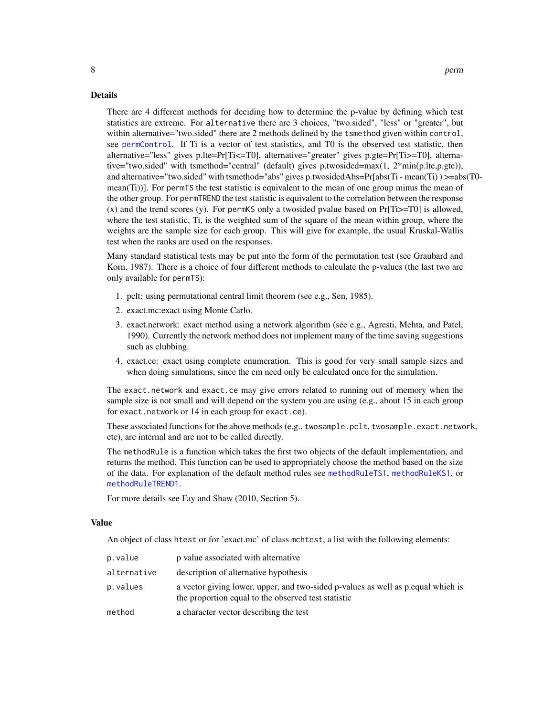# Details

There are 4 different methods for deciding how to determine the p-value by defining which test statistics are extreme. For alternative there are 3 choices, "two.sided", "less" or "greater", but within alternative="two.sided" there are 2 methods defined by the tsmethod given within control, see [permControl](#page-8-1). If Ti is a vector of test statistics, and T0 is the observed test statistic, then alternative="less" gives p.lte=Pr[Ti<=T0], alternative="greater" gives p.gte=Pr[Ti>=T0], alternative="two.sided" with tsmethod="central" (default) gives p.twosided=max(1, 2\*min(p.lte,p.gte)), and alternative="two.sided" with tsmethod="abs" gives p.twosidedAbs=Pr[abs(Ti - mean(Ti) ) >=abs(T0 mean(Ti))]. For permTS the test statistic is equivalent to the mean of one group minus the mean of the other group. For permTREND the test statistic is equivalent to the correlation between the response  $(x)$  and the trend scores  $(y)$ . For permKS only a twosided pvalue based on Pr $[Ti>=T0]$  is allowed, where the test statistic, Ti, is the weighted sum of the square of the mean within group, where the weights are the sample size for each group. This will give for example, the usual Kruskal-Wallis test when the ranks are used on the responses.

Many standard statistical tests may be put into the form of the permutation test (see Graubard and Korn, 1987). There is a choice of four different methods to calculate the p-values (the last two are only available for permTS):

- 1. pclt: using permutational central limit theorem (see e.g., Sen, 1985).
- 2. exact.mc:exact using Monte Carlo.
- 3. exact.network: exact method using a network algorithm (see e.g., Agresti, Mehta, and Patel, 1990). Currently the network method does not implement many of the time saving suggestions such as clubbing.
- 4. exact.ce: exact using complete enumeration. This is good for very small sample sizes and when doing simulations, since the cm need only be calculated once for the simulation.

The exact.network and exact.ce may give errors related to running out of memory when the sample size is not small and will depend on the system you are using (e.g., about 15 in each group for exact.network or 14 in each group for exact.ce).

These associated functions for the above methods (e.g., twosample.pclt, twosample.exact.network, etc), are internal and are not to be called directly.

The methodRule is a function which takes the first two objects of the default implementation, and returns the method. This function can be used to appropriately choose the method based on the size of the data. For explanation of the default method rules see [methodRuleTS1](#page-4-1), [methodRuleKS1](#page-3-1), or [methodRuleTREND1](#page-3-2).

For more details see Fay and Shaw (2010, Section 5).

#### Value

An object of class htest or for 'exact.mc' of class mchtest, a list with the following elements:

| p.value     | p value associated with alternative                                                                                                    |
|-------------|----------------------------------------------------------------------------------------------------------------------------------------|
| alternative | description of alternative hypothesis                                                                                                  |
| p.values    | a vector giving lower, upper, and two-sided p-values as well as pequal which is<br>the proportion equal to the observed test statistic |
| method      | a character vector describing the test                                                                                                 |

<span id="page-7-0"></span>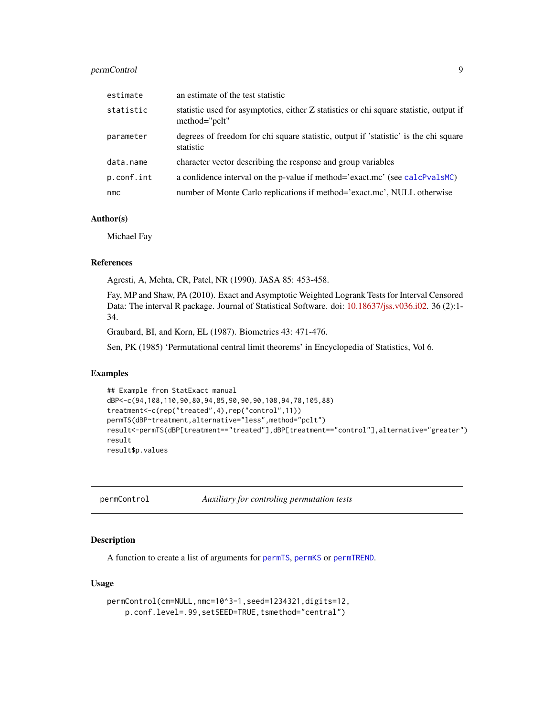# <span id="page-8-0"></span>permControl 9

| estimate   | an estimate of the test statistic                                                                       |
|------------|---------------------------------------------------------------------------------------------------------|
| statistic  | statistic used for asymptotics, either Z statistics or chi square statistic, output if<br>method="pclt" |
| parameter  | degrees of freedom for chi square statistic, output if 'statistic' is the chi square<br>statistic       |
| data.name  | character vector describing the response and group variables                                            |
| p.conf.int | a confidence interval on the p-value if method='exact.mc' (see calcPvalsMC)                             |
| nmc        | number of Monte Carlo replications if method='exact.mc', NULL otherwise                                 |

# Author(s)

Michael Fay

#### References

Agresti, A, Mehta, CR, Patel, NR (1990). JASA 85: 453-458.

Fay, MP and Shaw, PA (2010). Exact and Asymptotic Weighted Logrank Tests for Interval Censored Data: The interval R package. Journal of Statistical Software. doi: [10.18637/jss.v036.i02.](https://doi.org/10.18637/jss.v036.i02) 36 (2):1- 34.

Graubard, BI, and Korn, EL (1987). Biometrics 43: 471-476.

Sen, PK (1985) 'Permutational central limit theorems' in Encyclopedia of Statistics, Vol 6.

# Examples

```
## Example from StatExact manual
dBP<-c(94,108,110,90,80,94,85,90,90,90,108,94,78,105,88)
treatment<-c(rep("treated",4),rep("control",11))
permTS(dBP~treatment,alternative="less",method="pclt")
result<-permTS(dBP[treatment=="treated"],dBP[treatment=="control"],alternative="greater")
result
result$p.values
```
<span id="page-8-1"></span>permControl *Auxiliary for controling permutation tests*

# Description

A function to create a list of arguments for [permTS](#page-5-1), [permKS](#page-5-1) or [permTREND](#page-5-1).

#### Usage

```
permControl(cm=NULL,nmc=10^3-1,seed=1234321,digits=12,
   p.conf.level=.99,setSEED=TRUE,tsmethod="central")
```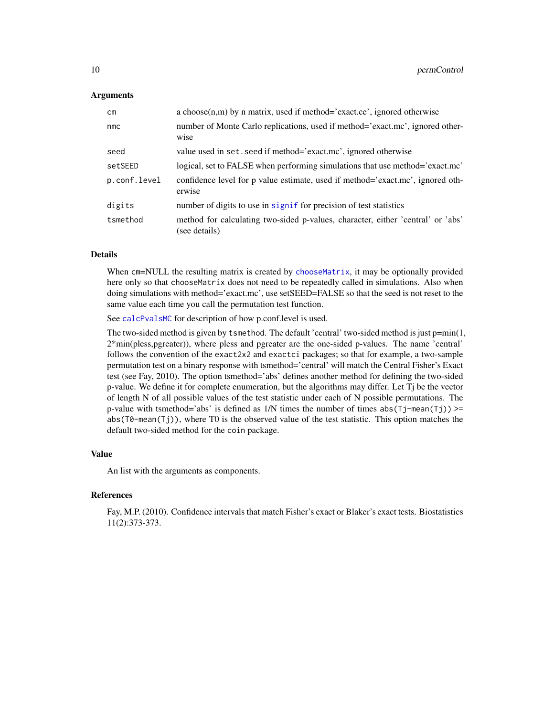#### <span id="page-9-0"></span>**Arguments**

| cm           | a choose $(n,m)$ by n matrix, used if method='exact.ce', ignored otherwise                       |
|--------------|--------------------------------------------------------------------------------------------------|
| nmc          | number of Monte Carlo replications, used if method='exact.mc', ignored other-<br>wise            |
| seed         | value used in set. seed if method='exact.mc', ignored otherwise                                  |
| setSEED      | logical, set to FALSE when performing simulations that use method='exact.mc'                     |
| p.conf.level | confidence level for p value estimate, used if method='exact.mc', ignored oth-<br>erwise         |
| digits       | number of digits to use in signif for precision of test statistics                               |
| tsmethod     | method for calculating two-sided p-values, character, either 'central' or 'abs'<br>(see details) |

# Details

When cm=NULL the resulting matrix is created by [chooseMatrix](#page-2-1), it may be optionally provided here only so that chooseMatrix does not need to be repeatedly called in simulations. Also when doing simulations with method='exact.mc', use setSEED=FALSE so that the seed is not reset to the same value each time you call the permutation test function.

See [calcPvalsMC](#page-0-0) for description of how p.conf.level is used.

The two-sided method is given by tsmethod. The default 'central' two-sided method is just  $p=min(1,$ 2\*min(pless,pgreater)), where pless and pgreater are the one-sided p-values. The name 'central' follows the convention of the exact2x2 and exactci packages; so that for example, a two-sample permutation test on a binary response with tsmethod='central' will match the Central Fisher's Exact test (see Fay, 2010). The option tsmethod='abs' defines another method for defining the two-sided p-value. We define it for complete enumeration, but the algorithms may differ. Let Tj be the vector of length N of all possible values of the test statistic under each of N possible permutations. The p-value with tsmethod='abs' is defined as  $1/N$  times the number of times abs( $Tj$ -mean( $Tj$ )) >= abs(T0-mean(Tj)), where T0 is the observed value of the test statistic. This option matches the default two-sided method for the coin package.

#### Value

An list with the arguments as components.

#### **References**

Fay, M.P. (2010). Confidence intervals that match Fisher's exact or Blaker's exact tests. Biostatistics 11(2):373-373.